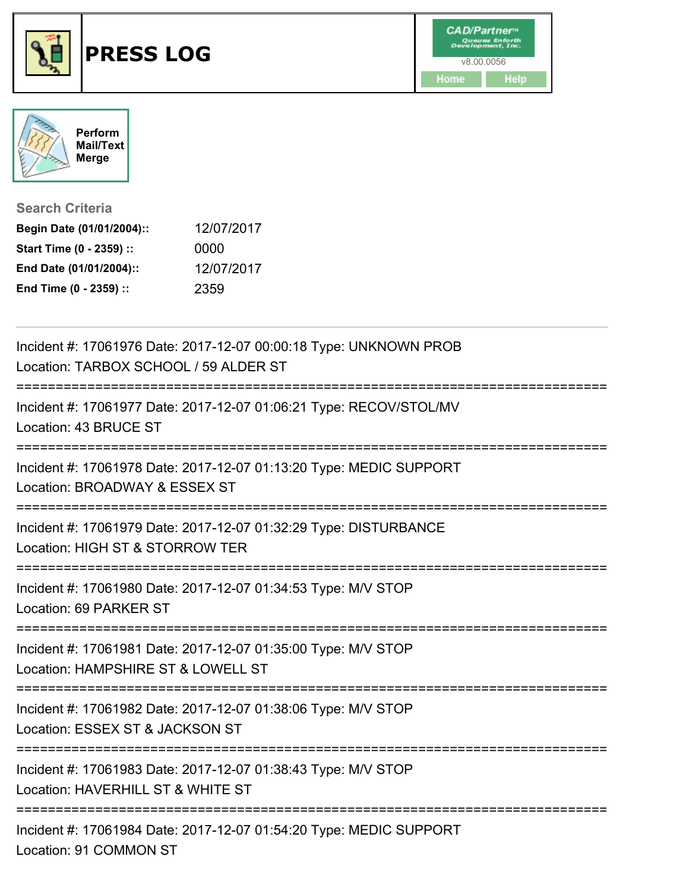



**Search Criteria**

| Begin Date (01/01/2004):: | 12/07/2017 |
|---------------------------|------------|
| Start Time (0 - 2359) ::  | 0000       |
| End Date (01/01/2004)::   | 12/07/2017 |
| End Time (0 - 2359) ::    | 2359       |

| Incident #: 17061976 Date: 2017-12-07 00:00:18 Type: UNKNOWN PROB<br>Location: TARBOX SCHOOL / 59 ALDER ST |
|------------------------------------------------------------------------------------------------------------|
| Incident #: 17061977 Date: 2017-12-07 01:06:21 Type: RECOV/STOL/MV<br>Location: 43 BRUCE ST                |
| Incident #: 17061978 Date: 2017-12-07 01:13:20 Type: MEDIC SUPPORT<br>Location: BROADWAY & ESSEX ST        |
| Incident #: 17061979 Date: 2017-12-07 01:32:29 Type: DISTURBANCE<br>Location: HIGH ST & STORROW TER        |
| Incident #: 17061980 Date: 2017-12-07 01:34:53 Type: M/V STOP<br>Location: 69 PARKER ST                    |
| Incident #: 17061981 Date: 2017-12-07 01:35:00 Type: M/V STOP<br>Location: HAMPSHIRE ST & LOWELL ST        |
| Incident #: 17061982 Date: 2017-12-07 01:38:06 Type: M/V STOP<br>Location: ESSEX ST & JACKSON ST           |
| Incident #: 17061983 Date: 2017-12-07 01:38:43 Type: M/V STOP<br>Location: HAVERHILL ST & WHITE ST         |
| Incident #: 17061984 Date: 2017-12-07 01:54:20 Type: MEDIC SUPPORT<br>Location: 91 COMMON ST               |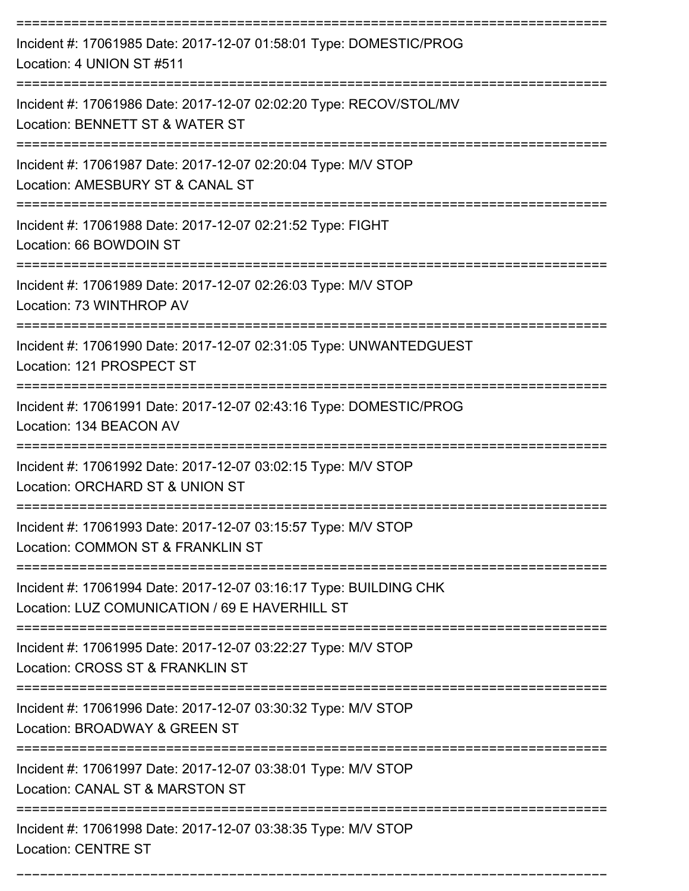| Incident #: 17061985 Date: 2017-12-07 01:58:01 Type: DOMESTIC/PROG<br>Location: 4 UNION ST #511                     |
|---------------------------------------------------------------------------------------------------------------------|
| Incident #: 17061986 Date: 2017-12-07 02:02:20 Type: RECOV/STOL/MV<br>Location: BENNETT ST & WATER ST               |
| Incident #: 17061987 Date: 2017-12-07 02:20:04 Type: M/V STOP<br>Location: AMESBURY ST & CANAL ST                   |
| Incident #: 17061988 Date: 2017-12-07 02:21:52 Type: FIGHT<br>Location: 66 BOWDOIN ST                               |
| Incident #: 17061989 Date: 2017-12-07 02:26:03 Type: M/V STOP<br>Location: 73 WINTHROP AV                           |
| Incident #: 17061990 Date: 2017-12-07 02:31:05 Type: UNWANTEDGUEST<br>Location: 121 PROSPECT ST                     |
| Incident #: 17061991 Date: 2017-12-07 02:43:16 Type: DOMESTIC/PROG<br>Location: 134 BEACON AV                       |
| Incident #: 17061992 Date: 2017-12-07 03:02:15 Type: M/V STOP<br>Location: ORCHARD ST & UNION ST                    |
| Incident #: 17061993 Date: 2017-12-07 03:15:57 Type: M/V STOP<br>Location: COMMON ST & FRANKLIN ST                  |
| Incident #: 17061994 Date: 2017-12-07 03:16:17 Type: BUILDING CHK<br>Location: LUZ COMUNICATION / 69 E HAVERHILL ST |
| Incident #: 17061995 Date: 2017-12-07 03:22:27 Type: M/V STOP<br>Location: CROSS ST & FRANKLIN ST                   |
| Incident #: 17061996 Date: 2017-12-07 03:30:32 Type: M/V STOP<br>Location: BROADWAY & GREEN ST                      |
| Incident #: 17061997 Date: 2017-12-07 03:38:01 Type: M/V STOP<br>Location: CANAL ST & MARSTON ST                    |
| Incident #: 17061998 Date: 2017-12-07 03:38:35 Type: M/V STOP<br><b>Location: CENTRE ST</b>                         |

===========================================================================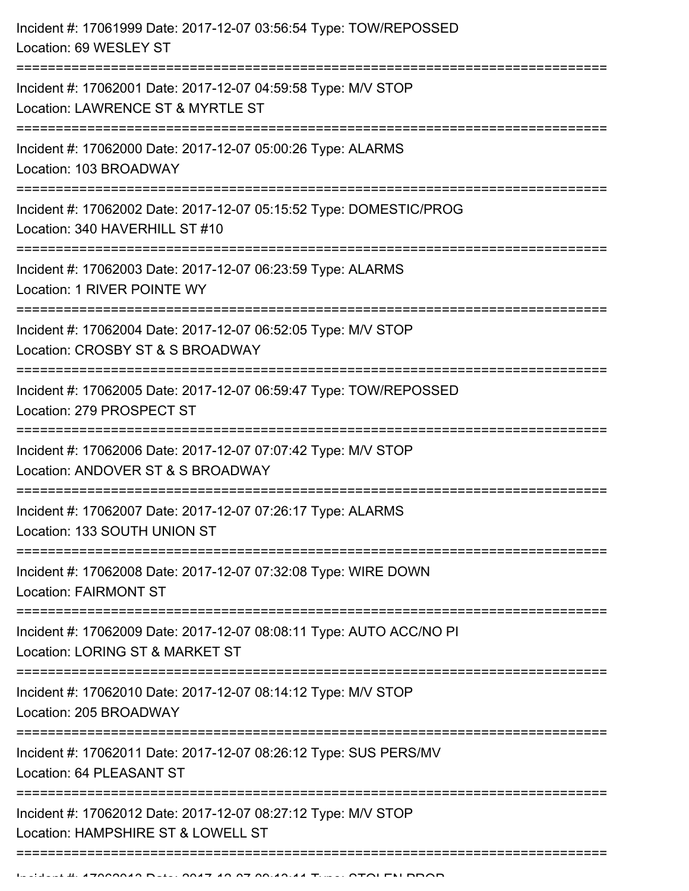| Incident #: 17061999 Date: 2017-12-07 03:56:54 Type: TOW/REPOSSED<br>Location: 69 WESLEY ST            |
|--------------------------------------------------------------------------------------------------------|
| Incident #: 17062001 Date: 2017-12-07 04:59:58 Type: M/V STOP<br>Location: LAWRENCE ST & MYRTLE ST     |
| Incident #: 17062000 Date: 2017-12-07 05:00:26 Type: ALARMS<br>Location: 103 BROADWAY                  |
| Incident #: 17062002 Date: 2017-12-07 05:15:52 Type: DOMESTIC/PROG<br>Location: 340 HAVERHILL ST #10   |
| Incident #: 17062003 Date: 2017-12-07 06:23:59 Type: ALARMS<br>Location: 1 RIVER POINTE WY             |
| Incident #: 17062004 Date: 2017-12-07 06:52:05 Type: M/V STOP<br>Location: CROSBY ST & S BROADWAY      |
| Incident #: 17062005 Date: 2017-12-07 06:59:47 Type: TOW/REPOSSED<br>Location: 279 PROSPECT ST         |
| Incident #: 17062006 Date: 2017-12-07 07:07:42 Type: M/V STOP<br>Location: ANDOVER ST & S BROADWAY     |
| Incident #: 17062007 Date: 2017-12-07 07:26:17 Type: ALARMS<br>Location: 133 SOUTH UNION ST            |
| Incident #: 17062008 Date: 2017-12-07 07:32:08 Type: WIRE DOWN<br><b>Location: FAIRMONT ST</b>         |
| Incident #: 17062009 Date: 2017-12-07 08:08:11 Type: AUTO ACC/NO PI<br>Location: LORING ST & MARKET ST |
| Incident #: 17062010 Date: 2017-12-07 08:14:12 Type: M/V STOP<br>Location: 205 BROADWAY                |
| Incident #: 17062011 Date: 2017-12-07 08:26:12 Type: SUS PERS/MV<br>Location: 64 PLEASANT ST           |
| Incident #: 17062012 Date: 2017-12-07 08:27:12 Type: M/V STOP<br>Location: HAMPSHIRE ST & LOWELL ST    |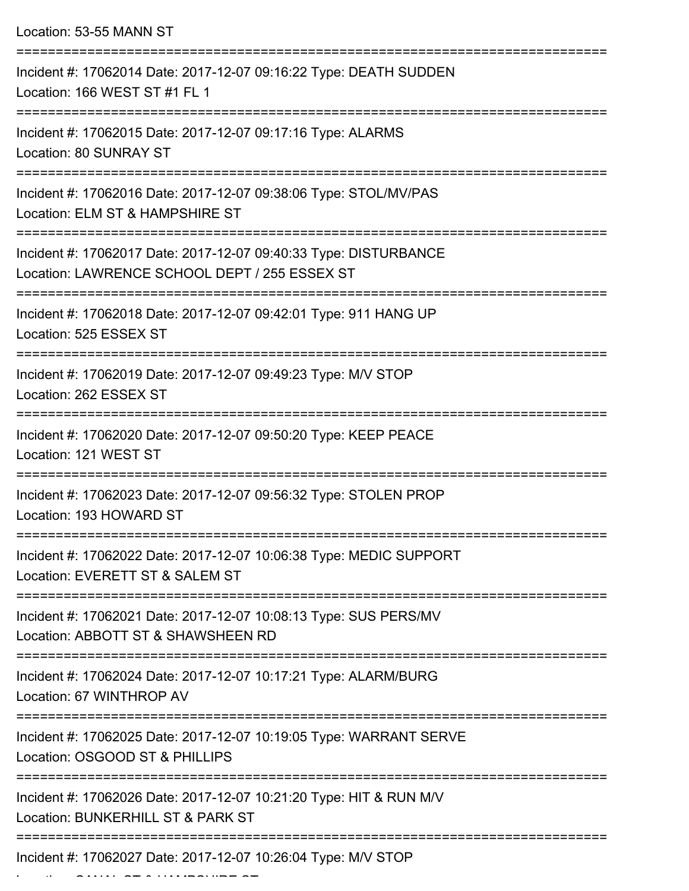| Location: 53-55 MANN ST                                                                                                                                 |
|---------------------------------------------------------------------------------------------------------------------------------------------------------|
| Incident #: 17062014 Date: 2017-12-07 09:16:22 Type: DEATH SUDDEN<br>Location: 166 WEST ST #1 FL 1                                                      |
| Incident #: 17062015 Date: 2017-12-07 09:17:16 Type: ALARMS<br>Location: 80 SUNRAY ST<br>.----------------------------------                            |
| Incident #: 17062016 Date: 2017-12-07 09:38:06 Type: STOL/MV/PAS<br>Location: ELM ST & HAMPSHIRE ST                                                     |
| Incident #: 17062017 Date: 2017-12-07 09:40:33 Type: DISTURBANCE<br>Location: LAWRENCE SCHOOL DEPT / 255 ESSEX ST                                       |
| Incident #: 17062018 Date: 2017-12-07 09:42:01 Type: 911 HANG UP<br>Location: 525 ESSEX ST                                                              |
| Incident #: 17062019 Date: 2017-12-07 09:49:23 Type: M/V STOP<br>Location: 262 ESSEX ST                                                                 |
| Incident #: 17062020 Date: 2017-12-07 09:50:20 Type: KEEP PEACE<br>Location: 121 WEST ST                                                                |
| ---------------------<br>Incident #: 17062023 Date: 2017-12-07 09:56:32 Type: STOLEN PROP<br>Location: 193 HOWARD ST                                    |
| :===========================<br>==============<br>Incident #: 17062022 Date: 2017-12-07 10:06:38 Type: MEDIC SUPPORT<br>Location: EVERETT ST & SALEM ST |
| Incident #: 17062021 Date: 2017-12-07 10:08:13 Type: SUS PERS/MV<br>Location: ABBOTT ST & SHAWSHEEN RD                                                  |
| Incident #: 17062024 Date: 2017-12-07 10:17:21 Type: ALARM/BURG<br>Location: 67 WINTHROP AV                                                             |
| Incident #: 17062025 Date: 2017-12-07 10:19:05 Type: WARRANT SERVE<br>Location: OSGOOD ST & PHILLIPS                                                    |
| Incident #: 17062026 Date: 2017-12-07 10:21:20 Type: HIT & RUN M/V<br>Location: BUNKERHILL ST & PARK ST                                                 |
| Incident #: 17062027 Date: 2017-12-07 10:26:04 Type: M/V STOP                                                                                           |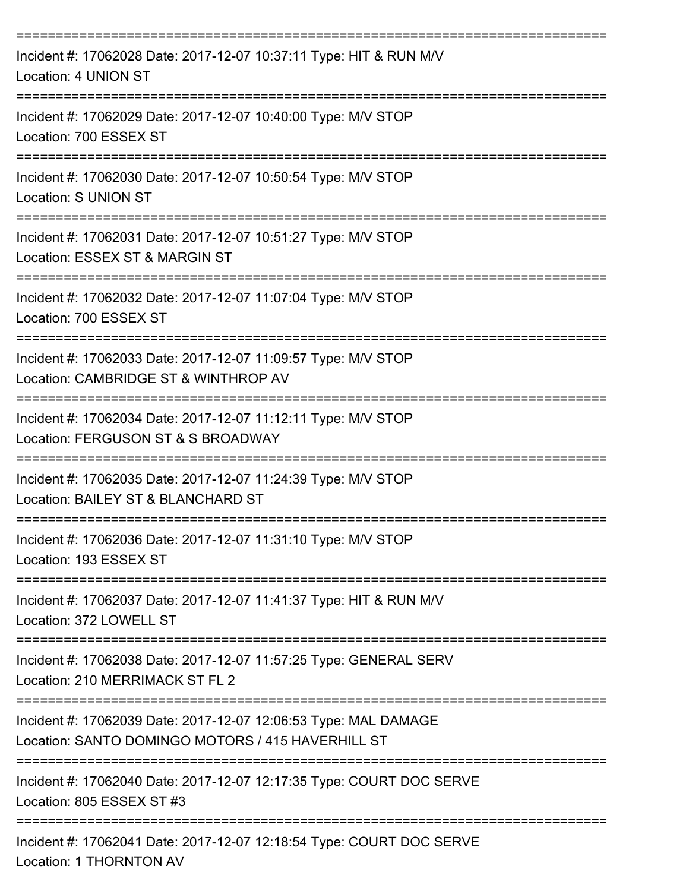| Incident #: 17062028 Date: 2017-12-07 10:37:11 Type: HIT & RUN M/V<br>Location: 4 UNION ST                           |
|----------------------------------------------------------------------------------------------------------------------|
| Incident #: 17062029 Date: 2017-12-07 10:40:00 Type: M/V STOP<br>Location: 700 ESSEX ST                              |
| Incident #: 17062030 Date: 2017-12-07 10:50:54 Type: M/V STOP<br><b>Location: S UNION ST</b>                         |
| Incident #: 17062031 Date: 2017-12-07 10:51:27 Type: M/V STOP<br>Location: ESSEX ST & MARGIN ST                      |
| Incident #: 17062032 Date: 2017-12-07 11:07:04 Type: M/V STOP<br>Location: 700 ESSEX ST                              |
| Incident #: 17062033 Date: 2017-12-07 11:09:57 Type: M/V STOP<br>Location: CAMBRIDGE ST & WINTHROP AV                |
| Incident #: 17062034 Date: 2017-12-07 11:12:11 Type: M/V STOP<br>Location: FERGUSON ST & S BROADWAY                  |
| Incident #: 17062035 Date: 2017-12-07 11:24:39 Type: M/V STOP<br>Location: BAILEY ST & BLANCHARD ST                  |
| Incident #: 17062036 Date: 2017-12-07 11:31:10 Type: M/V STOP<br>Location: 193 ESSEX ST                              |
| Incident #: 17062037 Date: 2017-12-07 11:41:37 Type: HIT & RUN M/V<br>Location: 372 LOWELL ST                        |
| Incident #: 17062038 Date: 2017-12-07 11:57:25 Type: GENERAL SERV<br>Location: 210 MERRIMACK ST FL 2                 |
| Incident #: 17062039 Date: 2017-12-07 12:06:53 Type: MAL DAMAGE<br>Location: SANTO DOMINGO MOTORS / 415 HAVERHILL ST |
| Incident #: 17062040 Date: 2017-12-07 12:17:35 Type: COURT DOC SERVE<br>Location: 805 ESSEX ST #3                    |
| Incident #: 17062041 Date: 2017-12-07 12:18:54 Type: COURT DOC SERVE                                                 |

Location: 1 THORNTON AV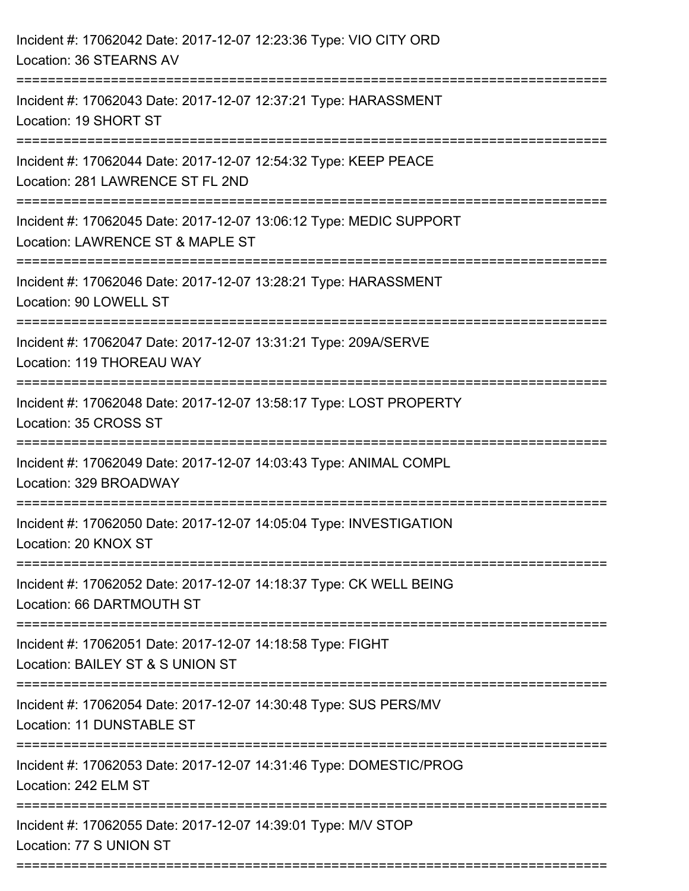| Incident #: 17062042 Date: 2017-12-07 12:23:36 Type: VIO CITY ORD<br>Location: 36 STEARNS AV           |
|--------------------------------------------------------------------------------------------------------|
| Incident #: 17062043 Date: 2017-12-07 12:37:21 Type: HARASSMENT<br>Location: 19 SHORT ST               |
| Incident #: 17062044 Date: 2017-12-07 12:54:32 Type: KEEP PEACE<br>Location: 281 LAWRENCE ST FL 2ND    |
| Incident #: 17062045 Date: 2017-12-07 13:06:12 Type: MEDIC SUPPORT<br>Location: LAWRENCE ST & MAPLE ST |
| Incident #: 17062046 Date: 2017-12-07 13:28:21 Type: HARASSMENT<br>Location: 90 LOWELL ST              |
| Incident #: 17062047 Date: 2017-12-07 13:31:21 Type: 209A/SERVE<br>Location: 119 THOREAU WAY           |
| Incident #: 17062048 Date: 2017-12-07 13:58:17 Type: LOST PROPERTY<br>Location: 35 CROSS ST            |
| Incident #: 17062049 Date: 2017-12-07 14:03:43 Type: ANIMAL COMPL<br>Location: 329 BROADWAY            |
| Incident #: 17062050 Date: 2017-12-07 14:05:04 Type: INVESTIGATION<br>Location: 20 KNOX ST             |
| Incident #: 17062052 Date: 2017-12-07 14:18:37 Type: CK WELL BEING<br>Location: 66 DARTMOUTH ST        |
| Incident #: 17062051 Date: 2017-12-07 14:18:58 Type: FIGHT<br>Location: BAILEY ST & S UNION ST         |
| Incident #: 17062054 Date: 2017-12-07 14:30:48 Type: SUS PERS/MV<br>Location: 11 DUNSTABLE ST          |
| Incident #: 17062053 Date: 2017-12-07 14:31:46 Type: DOMESTIC/PROG<br>Location: 242 ELM ST             |
| Incident #: 17062055 Date: 2017-12-07 14:39:01 Type: M/V STOP<br>Location: 77 S UNION ST               |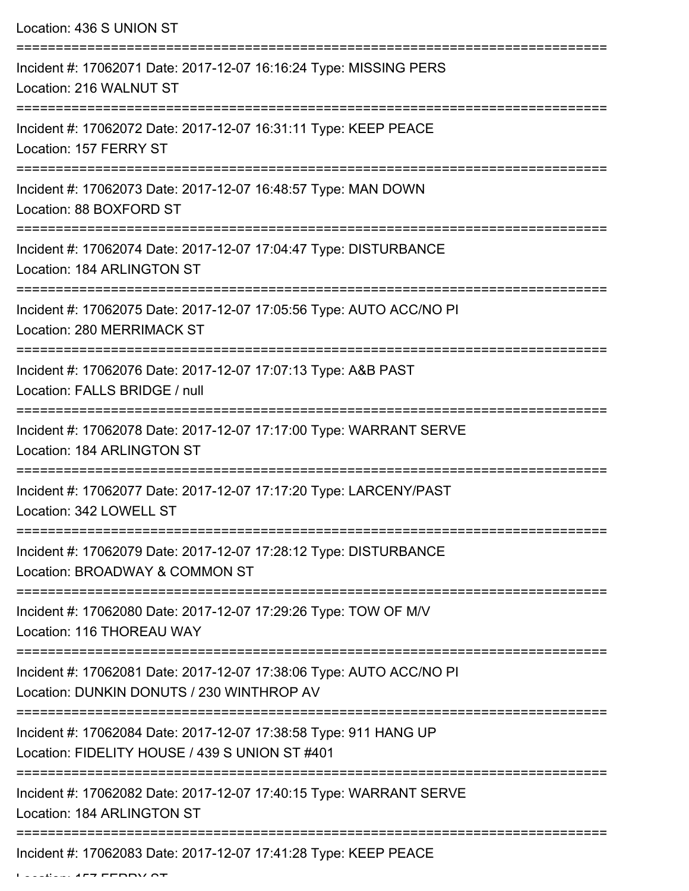Location: 436 S UNION ST

| Incident #: 17062071 Date: 2017-12-07 16:16:24 Type: MISSING PERS<br>Location: 216 WALNUT ST                       |
|--------------------------------------------------------------------------------------------------------------------|
| Incident #: 17062072 Date: 2017-12-07 16:31:11 Type: KEEP PEACE<br>Location: 157 FERRY ST                          |
| Incident #: 17062073 Date: 2017-12-07 16:48:57 Type: MAN DOWN<br>Location: 88 BOXFORD ST                           |
| Incident #: 17062074 Date: 2017-12-07 17:04:47 Type: DISTURBANCE<br>Location: 184 ARLINGTON ST                     |
| Incident #: 17062075 Date: 2017-12-07 17:05:56 Type: AUTO ACC/NO PI<br>Location: 280 MERRIMACK ST                  |
| Incident #: 17062076 Date: 2017-12-07 17:07:13 Type: A&B PAST<br>Location: FALLS BRIDGE / null                     |
| Incident #: 17062078 Date: 2017-12-07 17:17:00 Type: WARRANT SERVE<br>Location: 184 ARLINGTON ST                   |
| Incident #: 17062077 Date: 2017-12-07 17:17:20 Type: LARCENY/PAST<br>Location: 342 LOWELL ST                       |
| Incident #: 17062079 Date: 2017-12-07 17:28:12 Type: DISTURBANCE<br>Location: BROADWAY & COMMON ST                 |
| Incident #: 17062080 Date: 2017-12-07 17:29:26 Type: TOW OF M/V<br>Location: 116 THOREAU WAY                       |
| Incident #: 17062081 Date: 2017-12-07 17:38:06 Type: AUTO ACC/NO PI<br>Location: DUNKIN DONUTS / 230 WINTHROP AV   |
| Incident #: 17062084 Date: 2017-12-07 17:38:58 Type: 911 HANG UP<br>Location: FIDELITY HOUSE / 439 S UNION ST #401 |
| Incident #: 17062082 Date: 2017-12-07 17:40:15 Type: WARRANT SERVE<br>Location: 184 ARLINGTON ST                   |
| Incident #: 17062083 Date: 2017-12-07 17:41:28 Type: KEEP PEACE                                                    |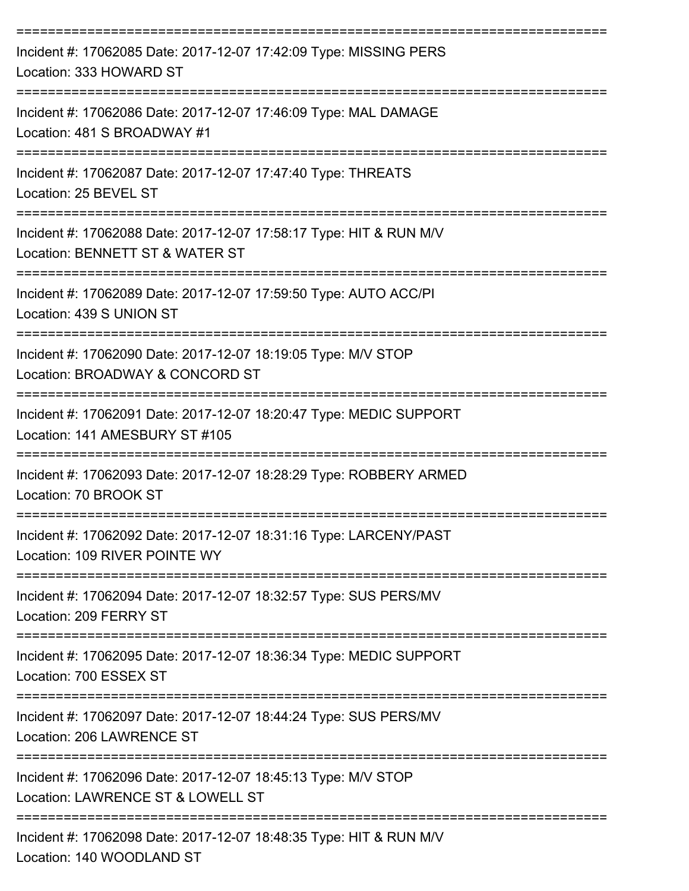| Incident #: 17062085 Date: 2017-12-07 17:42:09 Type: MISSING PERS<br>Location: 333 HOWARD ST                               |
|----------------------------------------------------------------------------------------------------------------------------|
| Incident #: 17062086 Date: 2017-12-07 17:46:09 Type: MAL DAMAGE<br>Location: 481 S BROADWAY #1                             |
| Incident #: 17062087 Date: 2017-12-07 17:47:40 Type: THREATS<br>Location: 25 BEVEL ST                                      |
| Incident #: 17062088 Date: 2017-12-07 17:58:17 Type: HIT & RUN M/V<br>Location: BENNETT ST & WATER ST                      |
| Incident #: 17062089 Date: 2017-12-07 17:59:50 Type: AUTO ACC/PI<br>Location: 439 S UNION ST                               |
| Incident #: 17062090 Date: 2017-12-07 18:19:05 Type: M/V STOP<br>Location: BROADWAY & CONCORD ST                           |
| Incident #: 17062091 Date: 2017-12-07 18:20:47 Type: MEDIC SUPPORT<br>Location: 141 AMESBURY ST #105                       |
| Incident #: 17062093 Date: 2017-12-07 18:28:29 Type: ROBBERY ARMED<br>Location: 70 BROOK ST                                |
| Incident #: 17062092 Date: 2017-12-07 18:31:16 Type: LARCENY/PAST<br>Location: 109 RIVER POINTE WY                         |
| Incident #: 17062094 Date: 2017-12-07 18:32:57 Type: SUS PERS/MV<br>Location: 209 FERRY ST                                 |
| Incident #: 17062095 Date: 2017-12-07 18:36:34 Type: MEDIC SUPPORT<br>Location: 700 ESSEX ST                               |
| :========================<br>Incident #: 17062097 Date: 2017-12-07 18:44:24 Type: SUS PERS/MV<br>Location: 206 LAWRENCE ST |
| Incident #: 17062096 Date: 2017-12-07 18:45:13 Type: M/V STOP<br>Location: LAWRENCE ST & LOWELL ST                         |
| Incident #: 17062098 Date: 2017-12-07 18:48:35 Type: HIT & RUN M/V<br>Location: 140 WOODLAND ST                            |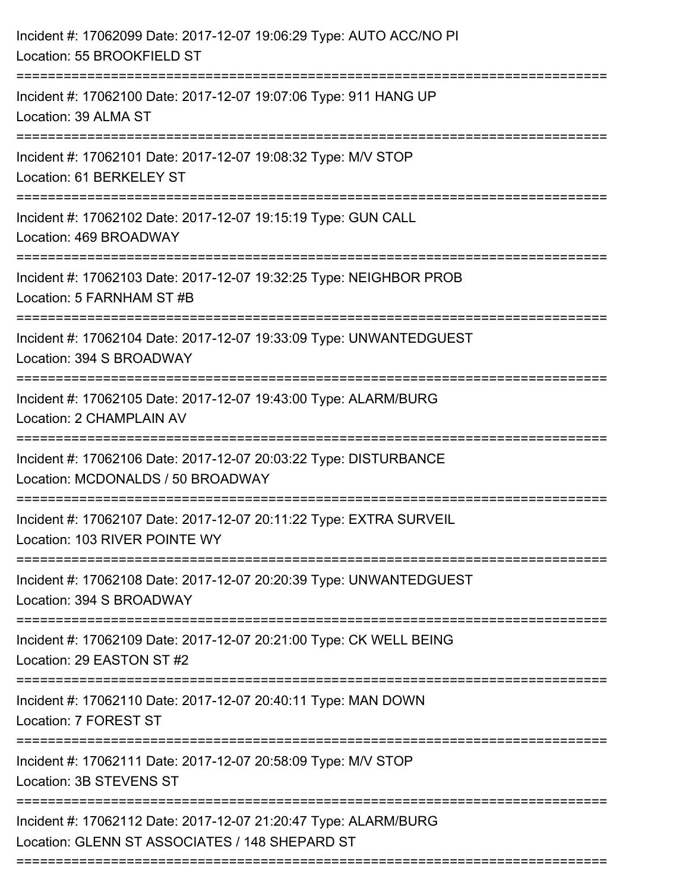| Incident #: 17062099 Date: 2017-12-07 19:06:29 Type: AUTO ACC/NO PI<br>Location: 55 BROOKFIELD ST                               |
|---------------------------------------------------------------------------------------------------------------------------------|
| ----------------<br>Incident #: 17062100 Date: 2017-12-07 19:07:06 Type: 911 HANG UP<br>Location: 39 ALMA ST                    |
| Incident #: 17062101 Date: 2017-12-07 19:08:32 Type: M/V STOP<br>Location: 61 BERKELEY ST                                       |
| Incident #: 17062102 Date: 2017-12-07 19:15:19 Type: GUN CALL<br>Location: 469 BROADWAY                                         |
| Incident #: 17062103 Date: 2017-12-07 19:32:25 Type: NEIGHBOR PROB<br>Location: 5 FARNHAM ST #B                                 |
| Incident #: 17062104 Date: 2017-12-07 19:33:09 Type: UNWANTEDGUEST<br>Location: 394 S BROADWAY<br>:============================ |
| Incident #: 17062105 Date: 2017-12-07 19:43:00 Type: ALARM/BURG<br>Location: 2 CHAMPLAIN AV                                     |
| Incident #: 17062106 Date: 2017-12-07 20:03:22 Type: DISTURBANCE<br>Location: MCDONALDS / 50 BROADWAY                           |
| Incident #: 17062107 Date: 2017-12-07 20:11:22 Type: EXTRA SURVEIL<br>Location: 103 RIVER POINTE WY                             |
| Incident #: 17062108 Date: 2017-12-07 20:20:39 Type: UNWANTEDGUEST<br>Location: 394 S BROADWAY                                  |
| Incident #: 17062109 Date: 2017-12-07 20:21:00 Type: CK WELL BEING<br>Location: 29 EASTON ST #2                                 |
| Incident #: 17062110 Date: 2017-12-07 20:40:11 Type: MAN DOWN<br>Location: 7 FOREST ST                                          |
| Incident #: 17062111 Date: 2017-12-07 20:58:09 Type: M/V STOP<br>Location: 3B STEVENS ST                                        |
| Incident #: 17062112 Date: 2017-12-07 21:20:47 Type: ALARM/BURG<br>Location: GLENN ST ASSOCIATES / 148 SHEPARD ST               |
|                                                                                                                                 |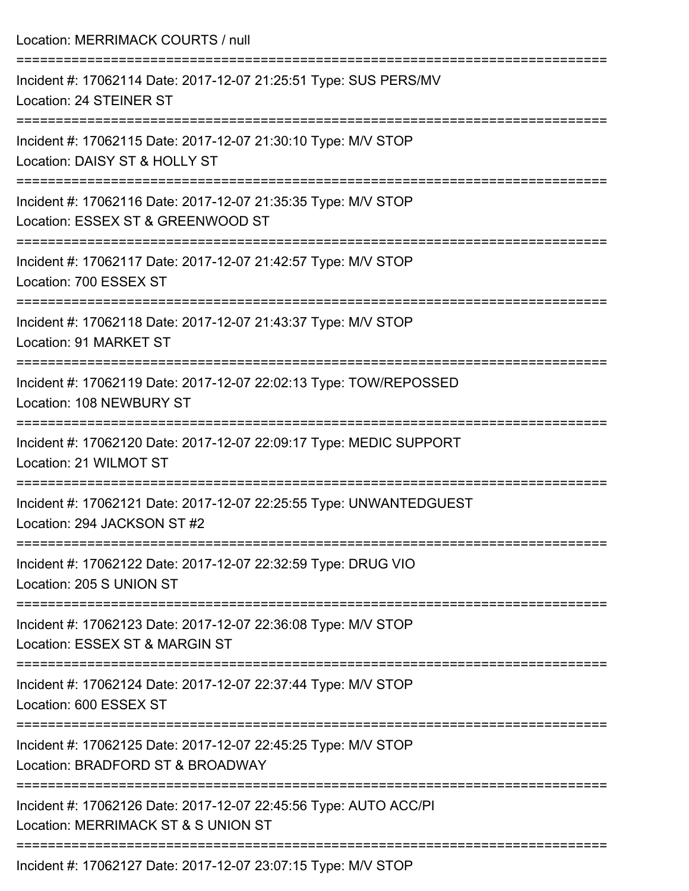Location: MERRIMACK COURTS / null =========================================================================== Incident #: 17062114 Date: 2017-12-07 21:25:51 Type: SUS PERS/MV Location: 24 STEINER ST =========================================================================== Incident #: 17062115 Date: 2017-12-07 21:30:10 Type: M/V STOP Location: DAISY ST & HOLLY ST =========================================================================== Incident #: 17062116 Date: 2017-12-07 21:35:35 Type: M/V STOP Location: ESSEX ST & GREENWOOD ST =========================================================================== Incident #: 17062117 Date: 2017-12-07 21:42:57 Type: M/V STOP Location: 700 ESSEX ST =========================================================================== Incident #: 17062118 Date: 2017-12-07 21:43:37 Type: M/V STOP Location: 91 MARKET ST =========================================================================== Incident #: 17062119 Date: 2017-12-07 22:02:13 Type: TOW/REPOSSED Location: 108 NEWBURY ST =========================================================================== Incident #: 17062120 Date: 2017-12-07 22:09:17 Type: MEDIC SUPPORT Location: 21 WILMOT ST =========================================================================== Incident #: 17062121 Date: 2017-12-07 22:25:55 Type: UNWANTEDGUEST Location: 294 JACKSON ST #2 =========================================================================== Incident #: 17062122 Date: 2017-12-07 22:32:59 Type: DRUG VIO Location: 205 S UNION ST =========================================================================== Incident #: 17062123 Date: 2017-12-07 22:36:08 Type: M/V STOP Location: ESSEX ST & MARGIN ST =========================================================================== Incident #: 17062124 Date: 2017-12-07 22:37:44 Type: M/V STOP Location: 600 ESSEX ST =========================================================================== Incident #: 17062125 Date: 2017-12-07 22:45:25 Type: M/V STOP Location: BRADFORD ST & BROADWAY =========================================================================== Incident #: 17062126 Date: 2017-12-07 22:45:56 Type: AUTO ACC/PI Location: MERRIMACK ST & S UNION ST =========================================================================== Incident #: 17062127 Date: 2017-12-07 23:07:15 Type: M/V STOP